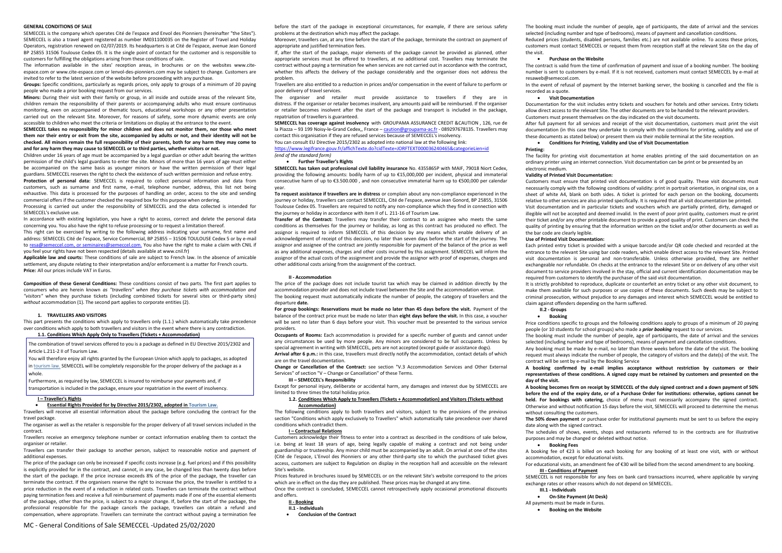### **GENERAL CONDITIONS OF SALE**

The information available in the sites' reception areas, in brochures or on the websites www.citeespace.com or www.cite-espace.com or lenvol-des-pionniers.com may be subject to change. Customers are invited to refer to the latest version of the website before proceeding with any purchase.

SEMECCEL is the company which operates Cité de l'espace and Envol des Pionniers (hereinafter "the Sites"). SEMECCEL is also a travel agent registered as number IM031100035 on the Register of Travel and Holiday Operators, registration renewed on 02/07/2019. Its headquarters is at Cité de l'espace, avenue Jean Gonord BP 25855 31506 Toulouse Cedex 05. It is the single point of contact for the customer and is responsible to customers for fulfilling the obligations arising from these conditions of sale.

**Groups:** Specific conditions, particularly as regards prices, only apply to groups of a minimum of 20 paying people who made a prior booking request from our services.

**Minors:** During their visit with their family or group, in all inside and outside areas of the relevant Site, children remain the responsibility of their parents or accompanying adults who must ensure continuous monitoring, even on accompanied or thematic tours, educational workshops or any other presentation carried out on the relevant Site. Moreover, for reasons of safety, some more dynamic events are only accessible to children who meet the criteria or limitations on display at the entrance to the event.

**SEMECCEL takes no responsibility for minor children and does not monitor them, nor those who meet them nor their entry or exit from the site, accompanied by adults or not, and their identity will not be checked. All minors remain the full responsibility of their parents, both for any harm they may come to and for any harm they may cause to SEMECCEL or to third parties, whether visitors or not.**

Children under 16 years of age must be accompanied by a legal guardian or other adult bearing the written permission of the child's legal guardians to enter the site. Minors of more than 16 years of age must either be accompanied on the same basis as younger minors or have the written permission of their legal guardians. SEMECCEL reserves the right to check the existence of such written permission and refuse entry.

**Protection of personal data:** SEMECCEL is required to collect personal information and data from customers, such as surname and first name, e-mail, telephone number, address, this list not being exhaustive. This data is processed for the purposes of handling an order, access to the site and sending commercial offers if the customer checked the required box for this purpose when ordering.

Processing is carried out under the responsibility of SEMECCEL and the data collected is intended for SEMECCEL's exclusive use.

In accordance with existing legislation, you have a right to access, correct and delete the personal data concerning you. You also have the right to refuse processing or to request a limitation thereof.

This right can be exercised by writing to the following address indicating your surname, first name and address: SEMECCEL Cité de l'espace, Service Commercial, BP 25855 – 31506 TOULOUSE Cedex 5 or by e-mail to [resa@semeccel.com,](mailto:resa@semeccel.com) [or seminaires@semeccel.com.](mailto:resa@semeccel.com) You also have the right to make a claim with CNIL if you feel your rights have not been respected (details available at www.cnil.fr)

**Applicable law and courts:** These conditions of sale are subject to French law. In the absence of amicable settlement, any dispute relating to their interpretation and/or enforcement is a matter for French courts. **Price:** All our prices include VAT in Euros.

**Composition of these General Conditions:** These conditions consist of two parts. The first part applies to consumers who are herein known *as "travellers" when they purchase tickets with accommodation and "visitors"* when they purchase tickets (including combined tickets for several sites or third-party sites) *without* accommodation (1). The second part applies to corporate entities (2).

### **1. TRAVELLERS AND VISITORS**

This part presents the conditions which apply to travellers only (1.1.) which automatically take precedence over conditions which apply to both travellers and visitors in the event where there is any contradiction. **1.1. Conditions Which Apply Only to Travellers (Tickets + Accommodation)**

The combination of travel services offered to you is a package as defined in EU Directive 2015/2302 and Article L.211-2 II of Tourism Law.

You will therefore enjoy all rights granted by the European Union which apply to packages, as adopted i[n tourism law.](https://www.legifrance.gouv.fr/affichCode.do?cidTexte=LEGITEXT000006074073&dateTexte=&categorieLien=cid) SEMECCEL will be completely responsible for the proper delivery of the package as a whole.

Furthermore, as required by law, SEMECCEL is insured to reimburse your payments and, if

transportation is included in the package, ensure your repatriation in the event of insolvency.

# **I – Traveller's Rights**

#### **Essential Rights Provided for by Directive 2015/2302, adopted i[n Tourism Law.](https://www.legifrance.gouv.fr/affichCode.do?cidTexte=LEGITEXT000006074073&dateTexte=&categorieLien=cid)**

Travellers will receive all essential information about the package before concluding the contract for the travel package.

The organiser as well as the retailer is responsible for the proper delivery of all travel services included in the contract.

Travellers receive an emergency telephone number or contact information enabling them to contact the organiser or retailer.

Travellers can transfer their package to another person, subject to reasonable notice and payment of additional expenses.

The price of the package can only be increased if specific costs increase (e.g. fuel prices) and if this possibility is explicitly provided for in the contract, and cannot, in any case, be changed less than twenty days before the start of the package. If the price increase exceeds 8% of the price of the package, the traveller can terminate the contract. If the organisers reserve the right to increase the price, the traveller is entitled to a price reduction in the event of a reduction in related costs. Travellers can terminate the contract without paying termination fees and receive a full reimbursement of payments made if one of the essential elements of the package, other than the price, is subject to a major change. If, before the start of the package, the professional responsible for the package cancels the package, travellers can obtain a refund and compensation, where appropriate. Travellers can terminate the contract without paying a termination fee before the start of the package in exceptional circumstances, for example, if there are serious safety problems at the destination which may affect the package.

Moreover, travellers can, at any time before the start of the package, terminate the contract on payment of appropriate and justified termination fees.

If, after the start of the package, major elements of the package cannot be provided as planned, other appropriate services must be offered to travellers, at no additional cost. Travellers may terminate the contract without paying a termination fee when services are not carried out in accordance with the contract, whether this affects the delivery of the package considerably and the organiser does not address the problem.

Travellers are also entitled to a reduction in prices and/or compensation in the event of failure to perform or poor delivery of travel services.

The organiser and retailer must provide assistance to travellers if they are in distress. If the organiser or retailer becomes insolvent, any amounts paid will be reimbursed. If the organiser or retailer becomes insolvent after the start of the package and transport is included in the package, repatriation of travellers is guaranteed.

**SEMECCEL has coverage against insolvency** with GROUPAMA ASSURANCE CREDIT &CAUTION , 126, rue de la Piazza – 93 199 Noisy-le-Grand Cedex,, France – [caution@groupama-ac.fr](mailto:caution@groupama-ac.fr) - 089297678135. Travellers may contact this organisation if they are refused services because of SEMECCEL's insolvency.

You can consult EU Directive 2015/2302 as adopted into national law at the following link:

<https://www.legifrance.gouv.fr/affichTexte.do?cidTexte=JORFTEXT000036240465&categorieLien=id> *(end of the standard form)*

#### **Further Traveller's Rights**

**SEMECCEL has taken out professional civil liability insurance** No. 4355865P with MAIF, 79018 Niort Cedex, providing the following amounts: bodily harm of up to €15,000,000 per incident, physical and immaterial consecutive harm of up to €3.500.000 , and non consecutive immaterial harm up to €500,000 per calendar year.

**To request assistance if travellers are in distress** or complain about any non-compliance experienced in the journey or holiday, travellers can contact SEMECCEL, Cité de l'espace, avenue Jean Gonord, BP 25855, 31506 Toulouse Cedex 05. Travellers are required to notify any non-compliance which they find in connection with the journey or holiday in accordance with item II of L. 211-16 of Tourism Law.

**Transfer of the Contract:** Travellers may transfer their contract to an assignee who meets the same conditions as themselves for the journey or holiday, as long as this contract has produced no effect. The assignor is required to inform SEMECCEL of this decision by any means which enable delivery of an acknowledgement of receipt of this decision, no later than seven days before the start of the journey. The assignor and assignee of the contract are jointly responsible for payment of the balance of the price as well as any additional expenses, charges and other costs incurred by this assignment. SEMECCEL will inform the assignor of the actual costs of the assignment and provide the assignor with proof of expenses, charges and other additional costs arising from the assignment of the contract.

#### **II - Accommodation**

The price of the package does not include tourist tax which may be claimed in addition directly by the accommodation provider and does not include travel between the Site and the accommodation venue. The booking request must automatically indicate the number of people, the category of travellers and the departure **date.**

**For group bookings: Reservations must be made no later than 45 days before the visit.** Payment of the balance of the contract price must be made no later than **eight days before the visit.** In this case, a voucher will be sent no later than 6 days before your visit. This voucher must be presented to the various service providers.

**Occupants of Rooms:** Each accommodation is provided for a specific number of guests and cannot under any circumstances be used by more people. Any minors are considered to be full occupants. Unless by special agreement in writing with SEMECCEL, pets are not accepted (except guide or assistance dogs). **Arrival after 6 p.m.:** in this case, travellers must directly notify the accommodation, contact details of which

are on the travel documentation.

**Change or Cancellation of the Contract:** see section "V.3 Accommodation Services and Other External Services" of section "V – Change or Cancellation" of these Terms.

## **III – SEMECCEL's Responsibility**

Except for personal injury, deliberate or accidental harm, any damages and interest due by SEMECCEL are limited to three times the total holiday price.

### **1.2. Conditions Which Apply to Travellers (Tickets + Accommodation) and Visitors (Tickets without Accommodation)**

The following conditions apply to both travellers and visitors, subject to the provisions of the previous section "Conditions which apply exclusively to Travellers" which automatically take precedence over shared conditions which contradict them.

#### **I – Contractual Relations**

Customers acknowledge their fitness to enter into a contract as described in the conditions of sale below, i.e. being at least 18 years of age, being legally capable of making a contract and not being under guardianship or trusteeship. Any minor child must be accompanied by an adult. On arrival at one of the sites (Cité de l'espace, L'Envol des Pionniers or any other third-party site to which the purchased ticket gives access, customers are subject to Regulation on display in the reception hall and accessible on the relevant Site's website.

Prices featured in brochures issued by SEMECCEL or on the relevant Site's website correspond to the prices which are in effect on the day they are published. These prices may be changed at any time.

Once the contract is concluded, SEMECCEL cannot retrospectively apply occasional promotional discounts and offers.

- **II - Booking**
- **II.1 - Individuals**
- **Conclusion of the Contract**

The booking must include the number of people, age of participants, the date of arrival and the services selected (including number and type of bedrooms), means of payment and cancellation conditions.

Reduced prices (students, disabled persons, families etc.) are not available online. To access these prices, customers must contact SEMECCEL or request them from reception staff at the relevant Site on the day of

the visit.

 **Purchase on the Website** resaweb@semeccel.com.

The contract is valid from the time of confirmation of payment and issue of a booking number. The booking number is sent to customers by e-mail. If it is not received, customers must contact SEMECCEL by e-mail at

In the event of refusal of payment by the Internet banking server, the booking is cancelled and the file is

recorded as a quote. **Visit Documentation**

Documentation for the visit includes entry tickets and vouchers for hotels and other services. Entry tickets allow direct access to the relevant Site. The other documents are to be handed to the relevant providers. Customers must present themselves on the day indicated on the visit documents.

After full payment for all services and receipt of the visit documentation, customers must print the visit documentation (in this case they undertake to comply with the conditions for printing, validity and use of these documents as stated below) or present them via their mobile terminal at the Site reception.

## **Conditions for Printing, Validity and Use of Visit Documentation**

**Printing:**

The facility for printing visit documentation at home enables printing of the said documentation on an ordinary printer using an internet connection. Visit documentation can be print or be presented by an

electronic medium. **Validity of Printed Visit Documentation:**

Customers must ensure that printed visit documentation is of good quality. These visit documents must necessarily comply with the following conditions of validity: print in portrait orientation, in original size, on a sheet of white A4, blank on both sides. A ticket is printed for each person on the booking, documents relative to other services are also printed specifically. It is required that all visit documentation be printed.

Visit documentation and in particular tickets and vouchers which are partially printed, dirty, damaged or illegible will not be accepted and deemed invalid. In the event of poor print quality, customers must re-print their ticket and/or any other printable document to provide a good quality of print. Customers can check the quality of printing by ensuring that the information written on the ticket and/or other documents as well as

the bar code are clearly legible. **Use of Printed Visit Documentation:**

Each printed entry ticket is provided with a unique barcode and/or QR code checked and recorded at the entrance to the relevant Site using bar code readers, which enable direct access to the relevant Site. Printed visit documentation is personal and non-transferable. Unless otherwise provided, they are neither exchangeable nor refundable. On checks at the entrance to the relevant Site or on delivery of any other visit document to service providers involved in the stay, official and current identification documentation may be required from customers to identify the purchaser of the said visit documentation.

It is strictly prohibited to reproduce, duplicate or counterfeit an entry ticket or any other visit document, to make them available for such purposes or use copies of these documents. Such deeds may be subject to criminal prosecution, without prejudice to any damages and interest which SEMECCEL would be entitled to claim against offenders depending on the harm suffered.

# **II.2 - Groups**

Price conditions specific to groups and the following conditions apply to groups of a minimum of 20 paying people (or 10 students for school groups) who made a *prior booking* request to our services.

The booking must include the number of people, age of participants, the date of arrival and the services selected (including number and type of bedrooms), means of payment and cancellation conditions.

 **Booking** contract will be sent by e-mail by the Booking Service

Any booking must be made by e-mail, no later than three weeks before the date of the visit. The booking request must always indicate the number of people, the category of visitors and the date(s) of the visit. The

**A booking confirmed by e-mail implies acceptance without restriction by customers or their representatives of these conditions. A signed copy must be retained by customers and presented on the** 

**day of the visit. A booking becomes firm on receipt by SEMECCEL of the duly signed contract and a down payment of 50% before the end of the expiry date, or of a Purchase Order for institutions: otherwise, options cannot be held. For bookings with catering,** choice of menu must necessarily accompany the signed contract. Otherwise and without notification 15 days before the visit, SEMECCEL will proceed to determine the menus without consulting the customers.

**The 50% down payment** or purchase order for institutional payments must be sent to us before the expiry

The schedules of shows, events, shops and restaurants referred to in the contracts are for illustrative

date along with the signed contract. purposes and may be changed or deleted without notice.

# **Booking Fees**

A booking fee of €23 is billed on each booking for any booking of at least one visit, with or without

accommodation, except for educational visits. **III - Conditions of Payment**

For educational visits, an amendment fee of €30 will be billed from the second amendment to any booking.

SEMECCEL is not responsible for any fees on bank card transactions incurred, where applicable by varying exchange rates or other reasons which do not depend on SEMECCEL.

# **III.1 - Individuals**

 **On-Site Payment (At Desk)** All payments must be made in Euros.

**•** Booking on the Website